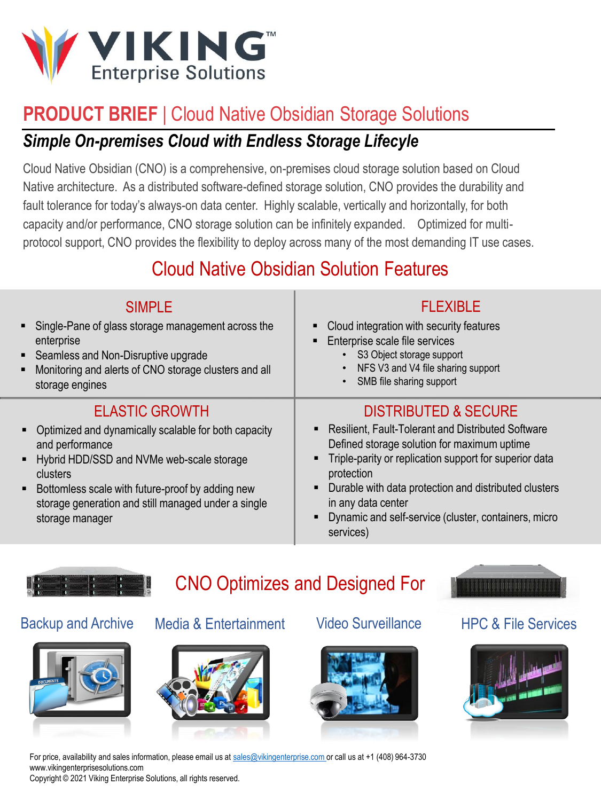

# **PRODUCT BRIEF | Cloud Native Obsidian Storage Solutions**

## *Simple On-premises Cloud with Endless Storage Lifecyle*

Cloud Native Obsidian (CNO) is a comprehensive, on-premises cloud storage solution based on Cloud Native architecture. As a distributed software-defined storage solution, CNO provides the durability and fault tolerance for today's always-on data center. Highly scalable, vertically and horizontally, for both capacity and/or performance, CNO storage solution can be infinitely expanded. Optimized for multiprotocol support, CNO provides the flexibility to deploy across many of the most demanding IT use cases.

# Cloud Native Obsidian Solution Features

| <b>SIMPLE</b><br>• Single-Pane of glass storage management across the<br>enterprise<br>• Seamless and Non-Disruptive upgrade<br>Monitoring and alerts of CNO storage clusters and all<br>٠<br>storage engines                                                                                           | <b>FLEXIBLE</b><br>Cloud integration with security features<br>Enterprise scale file services<br>S3 Object storage support<br>NFS V3 and V4 file sharing support<br>SMB file sharing support                                                                                                                                                                         |
|---------------------------------------------------------------------------------------------------------------------------------------------------------------------------------------------------------------------------------------------------------------------------------------------------------|----------------------------------------------------------------------------------------------------------------------------------------------------------------------------------------------------------------------------------------------------------------------------------------------------------------------------------------------------------------------|
| <b>ELASTIC GROWTH</b><br>Optimized and dynamically scalable for both capacity<br>т.<br>and performance<br>Hybrid HDD/SSD and NVMe web-scale storage<br>٠<br>clusters<br>Bottomless scale with future-proof by adding new<br>٠<br>storage generation and still managed under a single<br>storage manager | <b>DISTRIBUTED &amp; SECURE</b><br>• Resilient, Fault-Tolerant and Distributed Software<br>Defined storage solution for maximum uptime<br>• Triple-parity or replication support for superior data<br>protection<br>Durable with data protection and distributed clusters<br>in any data center<br>Dynamic and self-service (cluster, containers, micro<br>services) |



# CNO Optimizes and Designed For





### Backup and Archive Media & Entertainment Video Surveillance HPC & File Services







For price, availability and sales information, please email us at [sales@vikingenterprise.com](mailto:sales@vikingenterprise.com?subject=CNO%20Inquiry) or call us at +1 (408) 964-3730 www.vikingenterprisesolutions.com Copyright © 2021 Viking Enterprise Solutions, all rights reserved.